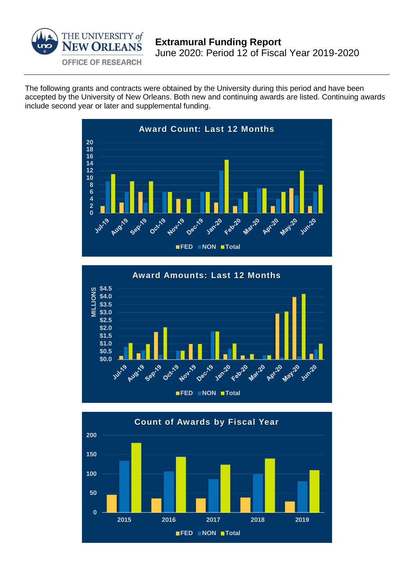

The following grants and contracts were obtained by the University during this period and have been accepted by the University of New Orleans. Both new and continuing awards are listed. Continuing awards include second year or later and supplemental funding.